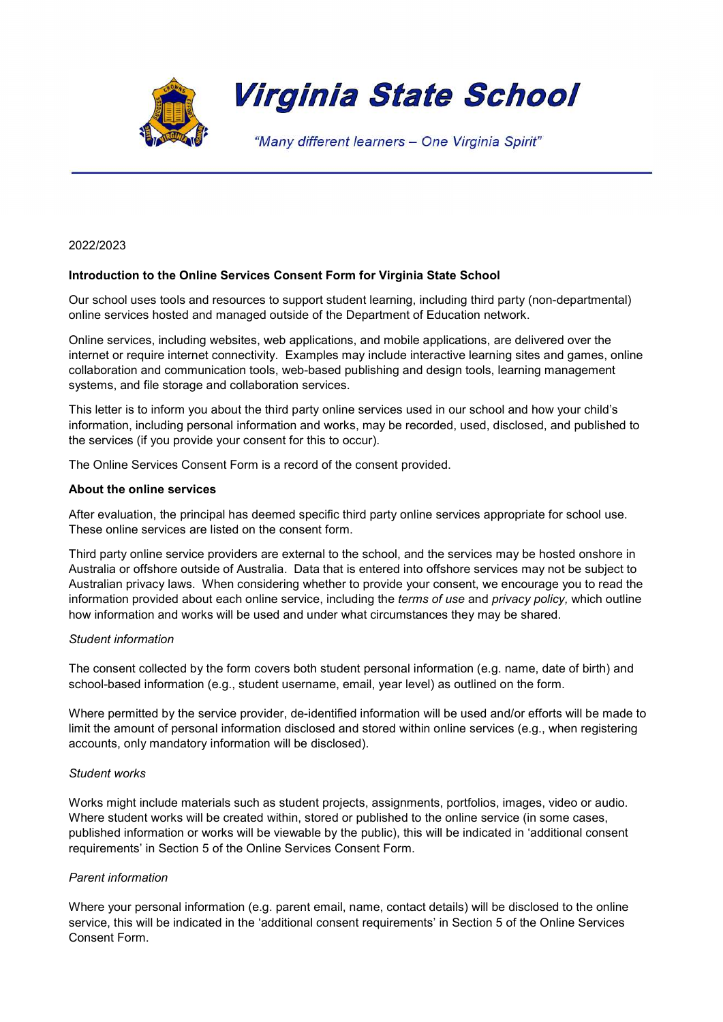

### 2022/2023

# Introduction to the Online Services Consent Form for Virginia State School

Our school uses tools and resources to support student learning, including third party (non-departmental) online services hosted and managed outside of the Department of Education network.

Online services, including websites, web applications, and mobile applications, are delivered over the internet or require internet connectivity. Examples may include interactive learning sites and games, online collaboration and communication tools, web-based publishing and design tools, learning management systems, and file storage and collaboration services.

This letter is to inform you about the third party online services used in our school and how your child's information, including personal information and works, may be recorded, used, disclosed, and published to the services (if you provide your consent for this to occur).

The Online Services Consent Form is a record of the consent provided.

### About the online services

After evaluation, the principal has deemed specific third party online services appropriate for school use. These online services are listed on the consent form.

Third party online service providers are external to the school, and the services may be hosted onshore in Australia or offshore outside of Australia. Data that is entered into offshore services may not be subject to Australian privacy laws. When considering whether to provide your consent, we encourage you to read the information provided about each online service, including the *terms of use* and *privacy policy*, which outline how information and works will be used and under what circumstances they may be shared.

## Student information

The consent collected by the form covers both student personal information (e.g. name, date of birth) and school-based information (e.g., student username, email, year level) as outlined on the form.

Where permitted by the service provider, de-identified information will be used and/or efforts will be made to limit the amount of personal information disclosed and stored within online services (e.g., when registering accounts, only mandatory information will be disclosed).

## Student works

Works might include materials such as student projects, assignments, portfolios, images, video or audio. Where student works will be created within, stored or published to the online service (in some cases, published information or works will be viewable by the public), this will be indicated in 'additional consent requirements' in Section 5 of the Online Services Consent Form.

# Parent information

Where your personal information (e.g. parent email, name, contact details) will be disclosed to the online service, this will be indicated in the 'additional consent requirements' in Section 5 of the Online Services Consent Form.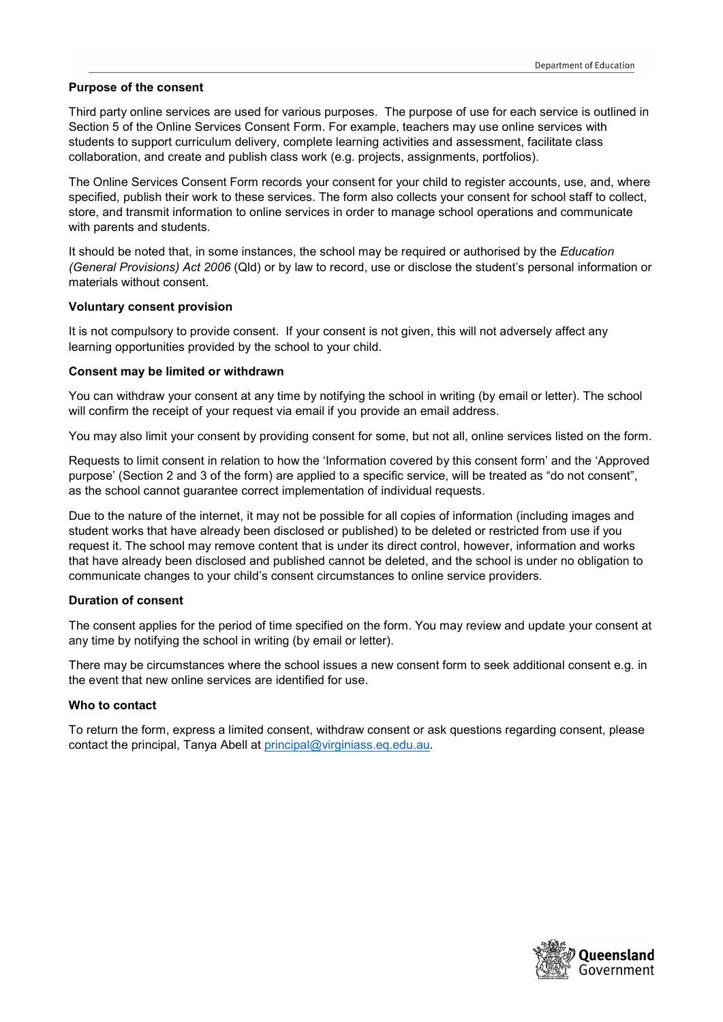## Purpose of the consent

Third party online services are used for various purposes. The purpose of use for each service is outlined in Section 5 of the Online Services Consent Form. For example, teachers may use online services with students to support curriculum delivery, complete learning activities and assessment, facilitate class collaboration, and create and publish class work (e.g. projects, assignments, portfolios).

The Online Services Consent Form records your consent for your child to register accounts, use, and, where specified, publish their work to these services. The form also collects your consent for school staff to collect, store, and transmit information to online services in order to manage school operations and communicate with parents and students.

It should be noted that, in some instances, the school may be required or authorised by the *Education* (General Provisions) Act 2006 (Qld) or by law to record, use or disclose the student's personal information or materials without consent.

## Voluntary consent provision

It is not compulsory to provide consent. If your consent is not given, this will not adversely affect any learning opportunities provided by the school to your child.

## Consent may be limited or withdrawn

You can withdraw your consent at any time by notifying the school in writing (by email or letter). The school will confirm the receipt of your request via email if you provide an email address.

You may also limit your consent by providing consent for some, but not all, online services listed on the form.

Requests to limit consent in relation to how the 'Information covered by this consent form' and the 'Approved purpose' (Section 2 and 3 of the form) are applied to a specific service, will be treated as "do not consent", as the school cannot guarantee correct implementation of individual requests.

Due to the nature of the internet, it may not be possible for all copies of information (including images and student works that have already been disclosed or published) to be deleted or restricted from use if you request it. The school may remove content that is under its direct control, however, information and works that have already been disclosed and published cannot be deleted, and the school is under no obligation to communicate changes to your child's consent circumstances to online service providers.

## Duration of consent

The consent applies for the period of time specified on the form. You may review and update your consent at any time by notifying the school in writing (by email or letter).

There may be circumstances where the school issues a new consent form to seek additional consent e.g. in the event that new online services are identified for use.

## Who to contact

To return the form, express a limited consent, withdraw consent or ask questions regarding consent, please contact the principal, Tanya Abell at principal@virginiass.eq.edu.au.

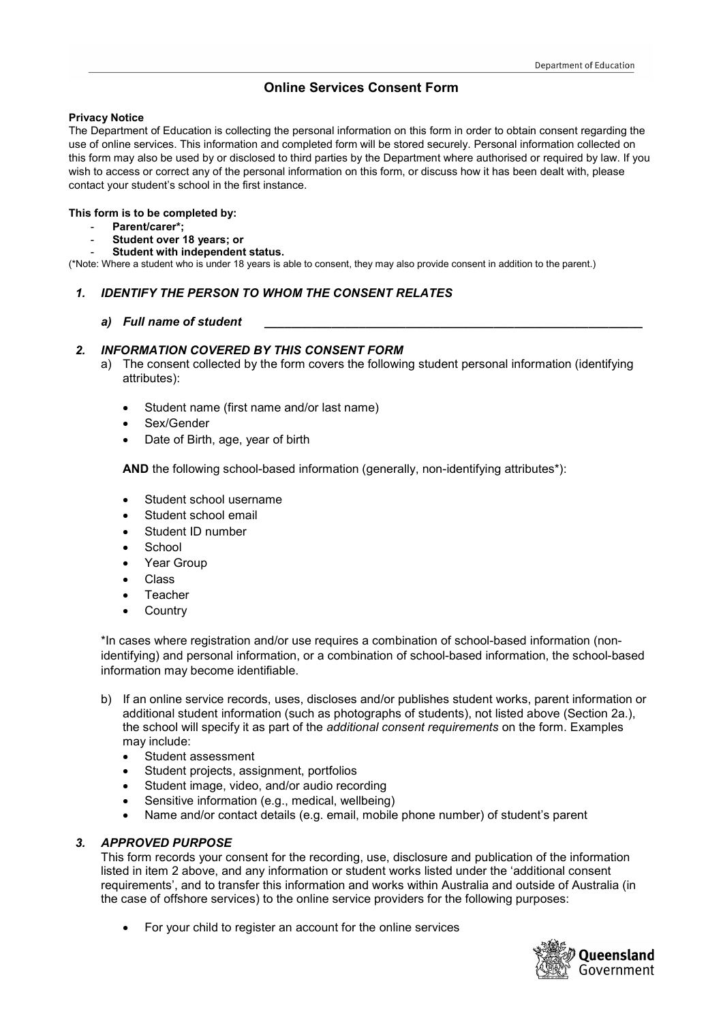# Online Services Consent Form

### Privacy Notice

The Department of Education is collecting the personal information on this form in order to obtain consent regarding the use of online services. This information and completed form will be stored securely. Personal information collected on this form may also be used by or disclosed to third parties by the Department where authorised or required by law. If you wish to access or correct any of the personal information on this form, or discuss how it has been dealt with, please contact your student's school in the first instance.

#### This form is to be completed by:

- Parent/carer\*;
- Student over 18 years; or
- Student with independent status.

(\*Note: Where a student who is under 18 years is able to consent, they may also provide consent in addition to the parent.)

# 1. IDENTIFY THE PERSON TO WHOM THE CONSENT RELATES

## a) Full name of student

# 2. INFORMATION COVERED BY THIS CONSENT FORM

- a) The consent collected by the form covers the following student personal information (identifying attributes):
	- Student name (first name and/or last name)
	- Sex/Gender
	- Date of Birth, age, year of birth

AND the following school-based information (generally, non-identifying attributes\*):

- Student school username
- Student school email
- Student ID number
- **School**
- Year Group
- Class
- Teacher
- **Country**

\*In cases where registration and/or use requires a combination of school-based information (nonidentifying) and personal information, or a combination of school-based information, the school-based information may become identifiable.

- b) If an online service records, uses, discloses and/or publishes student works, parent information or additional student information (such as photographs of students), not listed above (Section 2a.), the school will specify it as part of the *additional consent requirements* on the form. Examples may include:
	- Student assessment
	- Student projects, assignment, portfolios
	- Student image, video, and/or audio recording
	- Sensitive information (e.g., medical, wellbeing)
	- Name and/or contact details (e.g. email, mobile phone number) of student's parent

## 3. APPROVED PURPOSE

This form records your consent for the recording, use, disclosure and publication of the information listed in item 2 above, and any information or student works listed under the 'additional consent requirements', and to transfer this information and works within Australia and outside of Australia (in the case of offshore services) to the online service providers for the following purposes:

For your child to register an account for the online services

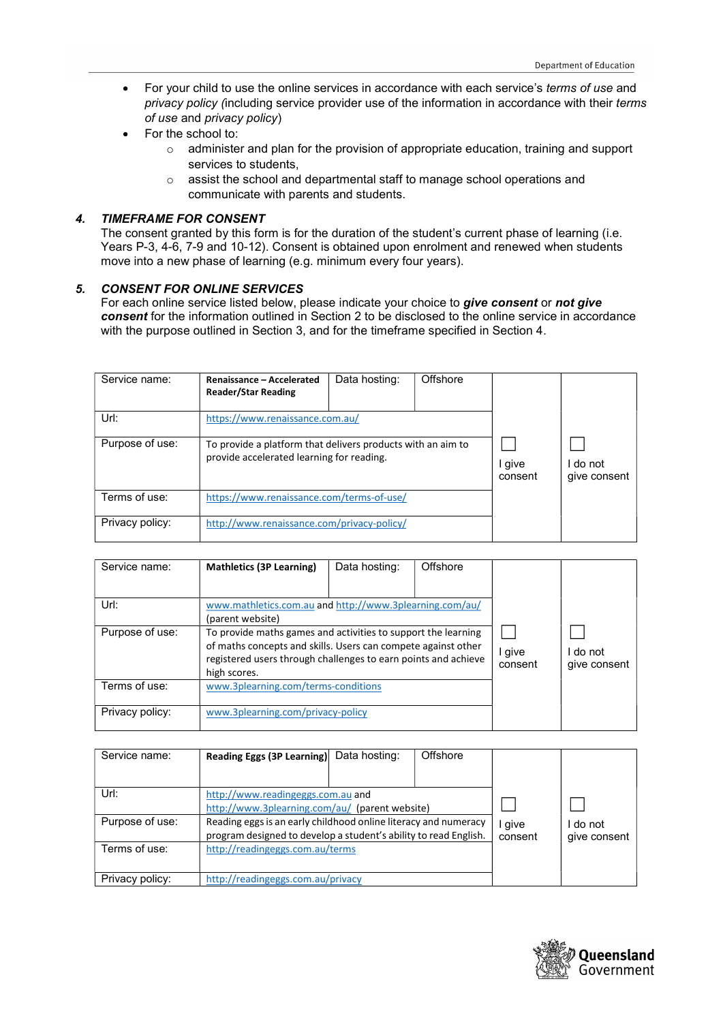- For your child to use the online services in accordance with each service's terms of use and privacy policy (including service provider use of the information in accordance with their terms of use and privacy policy)
- For the school to:
	- $\circ$  administer and plan for the provision of appropriate education, training and support services to students,
	- o assist the school and departmental staff to manage school operations and communicate with parents and students.

# 4. TIMEFRAME FOR CONSENT

 The consent granted by this form is for the duration of the student's current phase of learning (i.e. Years P-3, 4-6, 7-9 and 10-12). Consent is obtained upon enrolment and renewed when students move into a new phase of learning (e.g. minimum every four years).

## 5. CONSENT FOR ONLINE SERVICES

For each online service listed below, please indicate your choice to give consent or not give consent for the information outlined in Section 2 to be disclosed to the online service in accordance with the purpose outlined in Section 3, and for the timeframe specified in Section 4.

| Service name:   | Renaissance - Accelerated<br><b>Reader/Star Reading</b>                                                  | Data hosting: | Offshore |                   |                        |
|-----------------|----------------------------------------------------------------------------------------------------------|---------------|----------|-------------------|------------------------|
| Url:            | https://www.renaissance.com.au/                                                                          |               |          |                   |                        |
| Purpose of use: | To provide a platform that delivers products with an aim to<br>provide accelerated learning for reading. |               |          | I give<br>consent | do not<br>give consent |
| Terms of use:   | https://www.renaissance.com/terms-of-use/                                                                |               |          |                   |                        |
| Privacy policy: | http://www.renaissance.com/privacy-policy/                                                               |               |          |                   |                        |

| Service name:   | <b>Mathletics (3P Learning)</b>                                                                                                                                                                                  | Data hosting: | Offshore |                   |                        |
|-----------------|------------------------------------------------------------------------------------------------------------------------------------------------------------------------------------------------------------------|---------------|----------|-------------------|------------------------|
| Url:            | www.mathletics.com.au and http://www.3plearning.com/au/<br>(parent website)                                                                                                                                      |               |          |                   |                        |
| Purpose of use: | To provide maths games and activities to support the learning<br>of maths concepts and skills. Users can compete against other<br>registered users through challenges to earn points and achieve<br>high scores. |               |          | I give<br>consent | do not<br>give consent |
| Terms of use:   | www.3plearning.com/terms-conditions                                                                                                                                                                              |               |          |                   |                        |
| Privacy policy: | www.3plearning.com/privacy-policy                                                                                                                                                                                |               |          |                   |                        |

| Service name:   | Reading Eggs (3P Learning)                                                                                                          | Data hosting: | Offshore        |                        |  |
|-----------------|-------------------------------------------------------------------------------------------------------------------------------------|---------------|-----------------|------------------------|--|
|                 |                                                                                                                                     |               |                 |                        |  |
| Url:            | http://www.readingeggs.com.au and                                                                                                   |               |                 |                        |  |
|                 | http://www.3plearning.com/au/ (parent website)                                                                                      |               |                 |                        |  |
| Purpose of use: | Reading eggs is an early childhood online literacy and numeracy<br>program designed to develop a student's ability to read English. |               | give<br>consent | do not<br>give consent |  |
| Terms of use:   | http://readingeggs.com.au/terms                                                                                                     |               |                 |                        |  |
| Privacy policy: | http://readingeggs.com.au/privacy                                                                                                   |               |                 |                        |  |

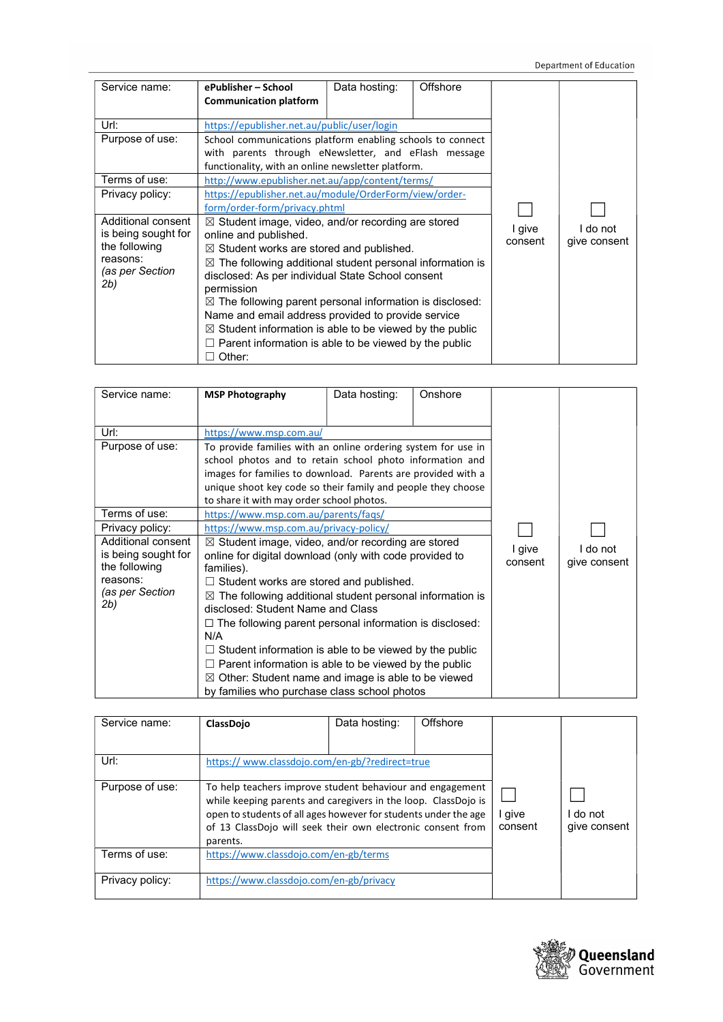| Service name:       | ePublisher – School                                                  | Data hosting: | Offshore |                   |              |
|---------------------|----------------------------------------------------------------------|---------------|----------|-------------------|--------------|
|                     | <b>Communication platform</b>                                        |               |          |                   |              |
|                     |                                                                      |               |          |                   |              |
| Url:                | https://epublisher.net.au/public/user/login                          |               |          |                   |              |
| Purpose of use:     | School communications platform enabling schools to connect           |               |          |                   |              |
|                     | with parents through eNewsletter, and eFlash message                 |               |          |                   |              |
|                     | functionality, with an online newsletter platform.                   |               |          |                   |              |
| Terms of use:       | http://www.epublisher.net.au/app/content/terms/                      |               |          |                   |              |
| Privacy policy:     | https://epublisher.net.au/module/OrderForm/view/order-               |               |          |                   |              |
|                     | form/order-form/privacy.phtml                                        |               |          |                   |              |
| Additional consent  | $\boxtimes$ Student image, video, and/or recording are stored        |               |          |                   |              |
| is being sought for | online and published.                                                |               |          | I give<br>consent | I do not     |
| the following       | $\boxtimes$ Student works are stored and published.                  |               |          |                   | give consent |
| reasons:            | $\boxtimes$ The following additional student personal information is |               |          |                   |              |
| (as per Section     | disclosed: As per individual State School consent                    |               |          |                   |              |
| 2b)                 | permission                                                           |               |          |                   |              |
|                     | $\boxtimes$ The following parent personal information is disclosed:  |               |          |                   |              |
|                     | Name and email address provided to provide service                   |               |          |                   |              |
|                     | $\boxtimes$ Student information is able to be viewed by the public   |               |          |                   |              |
|                     | $\Box$ Parent information is able to be viewed by the public         |               |          |                   |              |
|                     | Other:                                                               |               |          |                   |              |

| Service name:       | <b>MSP Photography</b>                                               | Data hosting:                                                  | Onshore |          |              |
|---------------------|----------------------------------------------------------------------|----------------------------------------------------------------|---------|----------|--------------|
|                     |                                                                      |                                                                |         |          |              |
| Url:                | https://www.msp.com.au/                                              |                                                                |         |          |              |
| Purpose of use:     | To provide families with an online ordering system for use in        |                                                                |         |          |              |
|                     | school photos and to retain school photo information and             |                                                                |         |          |              |
|                     | images for families to download. Parents are provided with a         |                                                                |         |          |              |
|                     | unique shoot key code so their family and people they choose         |                                                                |         |          |              |
|                     | to share it with may order school photos.                            |                                                                |         |          |              |
| Terms of use:       | https://www.msp.com.au/parents/faqs/                                 |                                                                |         |          |              |
| Privacy policy:     | https://www.msp.com.au/privacy-policy/                               |                                                                |         |          |              |
| Additional consent  | $\boxtimes$ Student image, video, and/or recording are stored        |                                                                | I give  | I do not |              |
| is being sought for | online for digital download (only with code provided to              |                                                                |         | consent  | give consent |
| the following       | families).                                                           |                                                                |         |          |              |
| reasons:            | $\Box$ Student works are stored and published.                       |                                                                |         |          |              |
| (as per Section     | $\boxtimes$ The following additional student personal information is |                                                                |         |          |              |
| 2b)                 | disclosed: Student Name and Class                                    |                                                                |         |          |              |
|                     |                                                                      | $\Box$ The following parent personal information is disclosed: |         |          |              |
|                     | N/A                                                                  |                                                                |         |          |              |
|                     | $\Box$ Student information is able to be viewed by the public        |                                                                |         |          |              |
|                     | $\Box$ Parent information is able to be viewed by the public         |                                                                |         |          |              |
|                     | $\boxtimes$ Other: Student name and image is able to be viewed       |                                                                |         |          |              |
|                     | by families who purchase class school photos                         |                                                                |         |          |              |

| Service name:   | ClassDojo                             | Data hosting:                                                                                                                                                                                                                                                 | Offshore |                   |                          |
|-----------------|---------------------------------------|---------------------------------------------------------------------------------------------------------------------------------------------------------------------------------------------------------------------------------------------------------------|----------|-------------------|--------------------------|
| Url:            |                                       | https://www.classdojo.com/en-gb/?redirect=true                                                                                                                                                                                                                |          |                   |                          |
| Purpose of use: | parents.                              | To help teachers improve student behaviour and engagement<br>while keeping parents and caregivers in the loop. ClassDojo is<br>open to students of all ages however for students under the age<br>of 13 ClassDojo will seek their own electronic consent from |          | I give<br>consent | I do not<br>give consent |
| Terms of use:   | https://www.classdojo.com/en-gb/terms |                                                                                                                                                                                                                                                               |          |                   |                          |
| Privacy policy: |                                       | https://www.classdojo.com/en-gb/privacy                                                                                                                                                                                                                       |          |                   |                          |